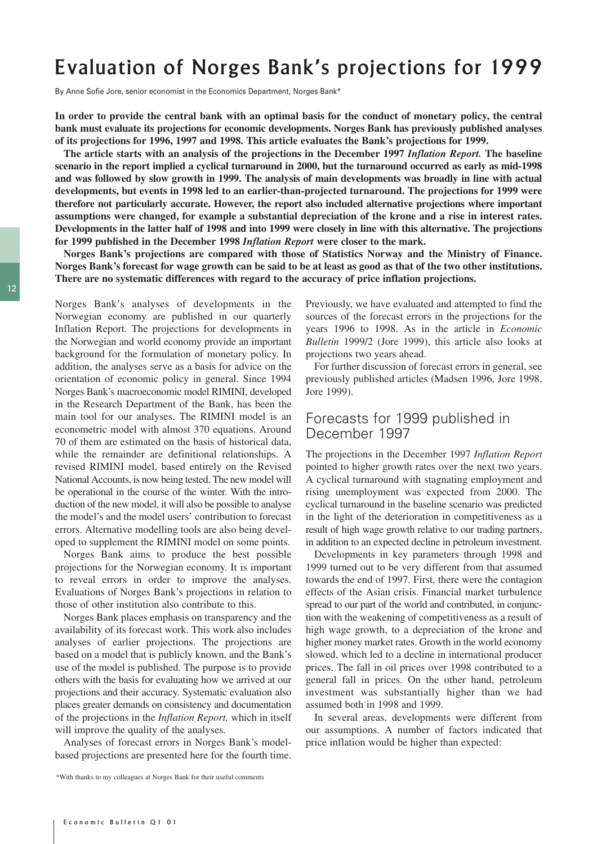# Evaluation of Norges Bank's projections for 1999

By Anne Sofie Jore, senior economist in the Economics Department, Norges Bank\*

**In order to provide the central bank with an optimal basis for the conduct of monetary policy, the central bank must evaluate its projections for economic developments. Norges Bank has previously published analyses of its projections for 1996, 1997 and 1998. This article evaluates the Bank's projections for 1999.** 

**The article starts with an analysis of the projections in the December 1997** *Inflation Report.* **The baseline scenario in the report implied a cyclical turnaround in 2000, but the turnaround occurred as early as mid-1998 and was followed by slow growth in 1999. The analysis of main developments was broadly in line with actual developments, but events in 1998 led to an earlier-than-projected turnaround. The projections for 1999 were therefore not particularly accurate. However, the report also included alternative projections where important assumptions were changed, for example a substantial depreciation of the krone and a rise in interest rates. Developments in the latter half of 1998 and into 1999 were closely in line with this alternative. The projections for 1999 published in the December 1998** *Inflation Report* **were closer to the mark.** 

**Norges Bank's projections are compared with those of Statistics Norway and the Ministry of Finance. Norges Bank's forecast for wage growth can be said to be at least as good as that of the two other institutions. There are no systematic differences with regard to the accuracy of price inflation projections.** 

Norges Bank's analyses of developments in the Norwegian economy are published in our quarterly Inflation Report. The projections for developments in the Norwegian and world economy provide an important background for the formulation of monetary policy. In addition, the analyses serve as a basis for advice on the orientation of economic policy in general. Since 1994 Norges Bank's macroeconomic model RIMINI, developed in the Research Department of the Bank, has been the main tool for our analyses. The RIMINI model is an econometric model with almost 370 equations. Around 70 of them are estimated on the basis of historical data, while the remainder are definitional relationships. A revised RIMINI model, based entirely on the Revised National Accounts, is now being tested. The new model will be operational in the course of the winter. With the introduction of the new model, it will also be possible to analyse the model's and the model users' contribution to forecast errors. Alternative modelling tools are also being developed to supplement the RIMINI model on some points.

Norges Bank aims to produce the best possible projections for the Norwegian economy. It is important to reveal errors in order to improve the analyses. Evaluations of Norges Bank's projections in relation to those of other institution also contribute to this.

Norges Bank places emphasis on transparency and the availability of its forecast work. This work also includes analyses of earlier projections. The projections are based on a model that is publicly known, and the Bank's use of the model is published. The purpose is to provide others with the basis for evaluating how we arrived at our projections and their accuracy. Systematic evaluation also places greater demands on consistency and documentation of the projections in the *Inflation Report,* which in itself will improve the quality of the analyses.

Analyses of forecast errors in Norges Bank's modelbased projections are presented here for the fourth time.

\*With thanks to my colleagues at Norges Bank for their useful comments

Previously, we have evaluated and attempted to find the sources of the forecast errors in the projections for the years 1996 to 1998. As in the article in *Economic Bulletin* 1999/2 (Jore 1999), this article also looks at projections two years ahead.

For further discussion of forecast errors in general, see previously published articles (Madsen 1996, Jore 1998, Jore 1999).

#### Forecasts for 1999 published in December 1997

The projections in the December 1997 *Inflation Report* pointed to higher growth rates over the next two years. A cyclical turnaround with stagnating employment and rising unemployment was expected from 2000. The cyclical turnaround in the baseline scenario was predicted in the light of the deterioration in competitiveness as a result of high wage growth relative to our trading partners, in addition to an expected decline in petroleum investment.

Developments in key parameters through 1998 and 1999 turned out to be very different from that assumed towards the end of 1997. First, there were the contagion effects of the Asian crisis. Financial market turbulence spread to our part of the world and contributed, in conjunction with the weakening of competitiveness as a result of high wage growth, to a depreciation of the krone and higher money market rates. Growth in the world economy slowed, which led to a decline in international producer prices. The fall in oil prices over 1998 contributed to a general fall in prices. On the other hand, petroleum investment was substantially higher than we had assumed both in 1998 and 1999.

In several areas, developments were different from our assumptions. A number of factors indicated that price inflation would be higher than expected: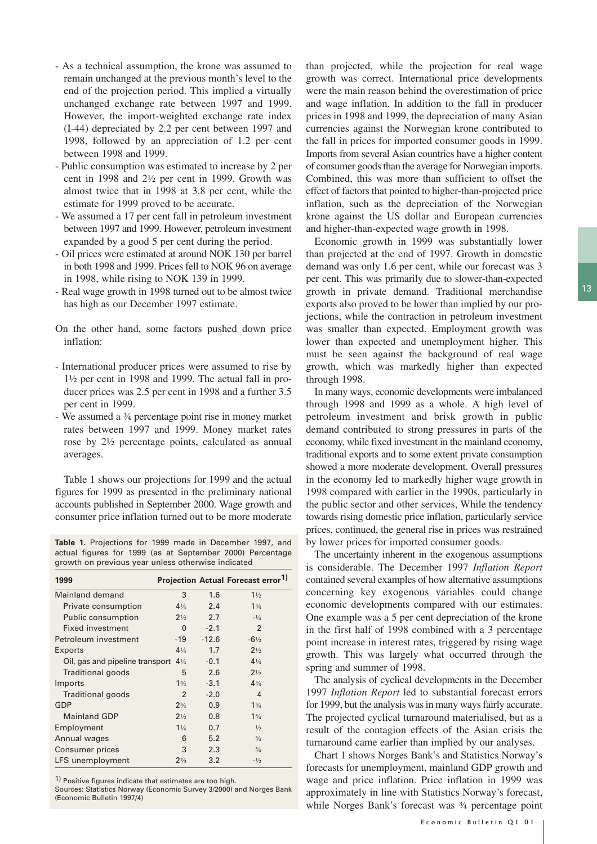- As a technical assumption, the krone was assumed to remain unchanged at the previous month's level to the end of the projection period. This implied a virtually unchanged exchange rate between 1997 and 1999. However, the import-weighted exchange rate index (I-44) depreciated by 2.2 per cent between 1997 and 1998, followed by an appreciation of 1.2 per cent between 1998 and 1999.
- Public consumption was estimated to increase by 2 per cent in 1998 and 2½ per cent in 1999. Growth was almost twice that in 1998 at 3.8 per cent, while the estimate for 1999 proved to be accurate.
- We assumed a 17 per cent fall in petroleum investment between 1997 and 1999. However, petroleum investment expanded by a good 5 per cent during the period.
- Oil prices were estimated at around NOK 130 per barrel in both 1998 and 1999. Prices fell to NOK 96 on average in 1998, while rising to NOK 139 in 1999.
- Real wage growth in 1998 turned out to be almost twice has high as our December 1997 estimate.
- On the other hand, some factors pushed down price inflation:
- International producer prices were assumed to rise by 1½ per cent in 1998 and 1999. The actual fall in producer prices was 2.5 per cent in 1998 and a further 3.5 per cent in 1999.
- We assumed a ¾ percentage point rise in money market rates between 1997 and 1999. Money market rates rose by 2½ percentage points, calculated as annual averages.

Table 1 shows our projections for 1999 and the actual figures for 1999 as presented in the preliminary national accounts published in September 2000. Wage growth and consumer price inflation turned out to be more moderate

**Table 1.** Projections for 1999 made in December 1997, and actual figures for 1999 (as at September 2000) Percentage growth on previous year unless otherwise indicated

| 1999                            |                |         | <b>Projection Actual Forecast error1)</b> |
|---------------------------------|----------------|---------|-------------------------------------------|
| Mainland demand                 | 3              | 1.6     | $1\frac{1}{2}$                            |
| Private consumption             | $4\frac{1}{4}$ | 2.4     | $1\frac{3}{4}$                            |
| <b>Public consumption</b>       | $2\frac{1}{2}$ | 2.7     | $-1/4$                                    |
| <b>Fixed investment</b>         | $\mathbf{0}$   | $-2.1$  | $\overline{2}$                            |
| Petroleum investment            | $-19$          | $-12.6$ | $-6\frac{1}{2}$                           |
| Exports                         | $4\frac{1}{4}$ | 1.7     | $2\frac{1}{2}$                            |
| Oil, gas and pipeline transport | $4\frac{1}{4}$ | $-0.1$  | $4\frac{1}{4}$                            |
| Traditional goods               | 5              | 2.6     | $2\frac{1}{2}$                            |
| Imports                         | $1\frac{3}{4}$ | $-3.1$  | $4^{3}/_{4}$                              |
| Traditional goods               | 2              | $-2.0$  | $\overline{4}$                            |
| GDP                             | $2^{3/4}$      | 0.9     | $1\frac{3}{4}$                            |
| <b>Mainland GDP</b>             | $2\frac{1}{2}$ | 0.8     | 13/4                                      |
| Employment                      | $1\frac{1}{4}$ | 0.7     | $\frac{1}{2}$                             |
| Annual wages                    | 6              | 5.2     | $^{3/4}$                                  |
| Consumer prices                 | 3              | 2.3     | $^{3/4}$                                  |
| LFS unemployment                | $2^{2/3}$      | 3.2     | $-1/2$                                    |

1) Positive figures indicate that estimates are too high.

Sources: Statistics Norway (Economic Survey 3/2000) and Norges Bank (Economic Bulletin 1997/4)

than projected, while the projection for real wage growth was correct. International price developments were the main reason behind the overestimation of price and wage inflation. In addition to the fall in producer prices in 1998 and 1999, the depreciation of many Asian currencies against the Norwegian krone contributed to the fall in prices for imported consumer goods in 1999. Imports from several Asian countries have a higher content of consumer goods than the average for Norwegian imports. Combined, this was more than sufficient to offset the effect of factors that pointed to higher-than-projected price inflation, such as the depreciation of the Norwegian krone against the US dollar and European currencies and higher-than-expected wage growth in 1998.

Economic growth in 1999 was substantially lower than projected at the end of 1997. Growth in domestic demand was only 1.6 per cent, while our forecast was 3 per cent. This was primarily due to slower-than-expected growth in private demand. Traditional merchandise exports also proved to be lower than implied by our projections, while the contraction in petroleum investment was smaller than expected. Employment growth was lower than expected and unemployment higher. This must be seen against the background of real wage growth, which was markedly higher than expected through 1998.

In many ways, economic developments were imbalanced through 1998 and 1999 as a whole. A high level of petroleum investment and brisk growth in public demand contributed to strong pressures in parts of the economy, while fixed investment in the mainland economy, traditional exports and to some extent private consumption showed a more moderate development. Overall pressures in the economy led to markedly higher wage growth in 1998 compared with earlier in the 1990s, particularly in the public sector and other services, While the tendency towards rising domestic price inflation, particularly service prices, continued, the general rise in prices was restrained by lower prices for imported consumer goods.

The uncertainty inherent in the exogenous assumptions is considerable. The December 1997 *Inflation Report* contained several examples of how alternative assumptions concerning key exogenous variables could change economic developments compared with our estimates. One example was a 5 per cent depreciation of the krone in the first half of 1998 combined with a 3 percentage point increase in interest rates, triggered by rising wage growth. This was largely what occurred through the spring and summer of 1998.

The analysis of cyclical developments in the December 1997 *Inflation Report* led to substantial forecast errors for 1999, but the analysis was in many ways fairly accurate. The projected cyclical turnaround materialised, but as a result of the contagion effects of the Asian crisis the turnaround came earlier than implied by our analyses.

Chart 1 shows Norges Bank's and Statistics Norway's forecasts for unemployment, mainland GDP growth and wage and price inflation. Price inflation in 1999 was approximately in line with Statistics Norway's forecast, while Norges Bank's forecast was 3/4 percentage point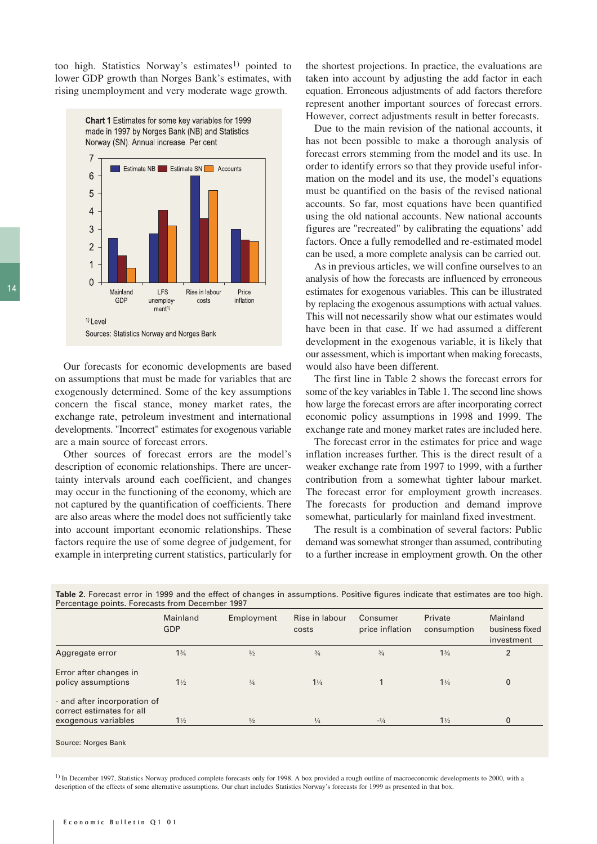too high. Statistics Norway's estimates<sup>1)</sup> pointed to lower GDP growth than Norges Bank's estimates, with rising unemployment and very moderate wage growth.



Our forecasts for economic developments are based on assumptions that must be made for variables that are exogenously determined. Some of the key assumptions concern the fiscal stance, money market rates, the exchange rate, petroleum investment and international developments. "Incorrect" estimates for exogenous variable are a main source of forecast errors.

Other sources of forecast errors are the model's description of economic relationships. There are uncertainty intervals around each coefficient, and changes may occur in the functioning of the economy, which are not captured by the quantification of coefficients. There are also areas where the model does not sufficiently take into account important economic relationships. These factors require the use of some degree of judgement, for example in interpreting current statistics, particularly for

the shortest projections. In practice, the evaluations are taken into account by adjusting the add factor in each equation. Erroneous adjustments of add factors therefore represent another important sources of forecast errors. However, correct adjustments result in better forecasts.

Due to the main revision of the national accounts, it has not been possible to make a thorough analysis of forecast errors stemming from the model and its use. In order to identify errors so that they provide useful information on the model and its use, the model's equations must be quantified on the basis of the revised national accounts. So far, most equations have been quantified using the old national accounts. New national accounts figures are "recreated" by calibrating the equations' add factors. Once a fully remodelled and re-estimated model can be used, a more complete analysis can be carried out.

As in previous articles, we will confine ourselves to an analysis of how the forecasts are influenced by erroneous estimates for exogenous variables. This can be illustrated by replacing the exogenous assumptions with actual values. This will not necessarily show what our estimates would have been in that case. If we had assumed a different development in the exogenous variable, it is likely that our assessment, which is important when making forecasts, would also have been different.

The first line in Table 2 shows the forecast errors for some of the key variables in Table 1. The second line shows how large the forecast errors are after incorporating correct economic policy assumptions in 1998 and 1999. The exchange rate and money market rates are included here.

The forecast error in the estimates for price and wage inflation increases further. This is the direct result of a weaker exchange rate from 1997 to 1999, with a further contribution from a somewhat tighter labour market. The forecast error for employment growth increases. The forecasts for production and demand improve somewhat, particularly for mainland fixed investment.

The result is a combination of several factors: Public demand was somewhat stronger than assumed, contributing to a further increase in employment growth. On the other

|                                                                                  | Mainland<br><b>GDP</b> | Employment    | Rise in labour<br>costs | Consumer<br>price inflation | Private<br>consumption | Mainland<br>business fixed<br>investment |
|----------------------------------------------------------------------------------|------------------------|---------------|-------------------------|-----------------------------|------------------------|------------------------------------------|
| Aggregate error                                                                  | $1\frac{3}{4}$         | $\frac{1}{2}$ | $\frac{3}{4}$           | $^{3/4}$                    | 1 <sup>3</sup> /4      | $\overline{2}$                           |
| Error after changes in<br>policy assumptions                                     | $1\frac{1}{2}$         | $^{3/4}$      | $1\frac{1}{4}$          |                             | $1\frac{1}{4}$         | 0                                        |
| - and after incorporation of<br>correct estimates for all<br>exogenous variables | $1\frac{1}{2}$         | $\frac{1}{2}$ | $\frac{1}{4}$           | $-1/4$                      | $1\frac{1}{2}$         | 0                                        |

**Table 2.** Forecast error in 1999 and the effect of changes in assumptions. Positive figures indicate that estimates are too high. Percentage points. Forecasts from December 1997

1) In December 1997, Statistics Norway produced complete forecasts only for 1998. A box provided a rough outline of macroeconomic developments to 2000, with a description of the effects of some alternative assumptions. Our chart includes Statistics Norway's forecasts for 1999 as presented in that box.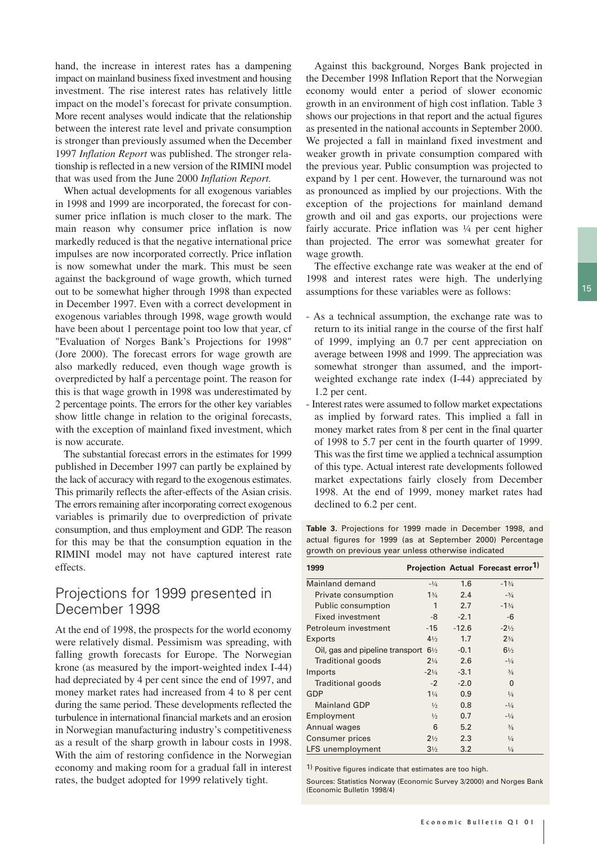hand, the increase in interest rates has a dampening impact on mainland business fixed investment and housing investment. The rise interest rates has relatively little impact on the model's forecast for private consumption. More recent analyses would indicate that the relationship between the interest rate level and private consumption is stronger than previously assumed when the December 1997 *Inflation Report* was published. The stronger relationship is reflected in a new version of the RIMINI model that was used from the June 2000 *Inflation Report.*

When actual developments for all exogenous variables in 1998 and 1999 are incorporated, the forecast for consumer price inflation is much closer to the mark. The main reason why consumer price inflation is now markedly reduced is that the negative international price impulses are now incorporated correctly. Price inflation is now somewhat under the mark. This must be seen against the background of wage growth, which turned out to be somewhat higher through 1998 than expected in December 1997. Even with a correct development in exogenous variables through 1998, wage growth would have been about 1 percentage point too low that year, cf "Evaluation of Norges Bank's Projections for 1998" (Jore 2000). The forecast errors for wage growth are also markedly reduced, even though wage growth is overpredicted by half a percentage point. The reason for this is that wage growth in 1998 was underestimated by 2 percentage points. The errors for the other key variables show little change in relation to the original forecasts, with the exception of mainland fixed investment, which is now accurate.

The substantial forecast errors in the estimates for 1999 published in December 1997 can partly be explained by the lack of accuracy with regard to the exogenous estimates. This primarily reflects the after-effects of the Asian crisis. The errors remaining after incorporating correct exogenous variables is primarily due to overprediction of private consumption, and thus employment and GDP. The reason for this may be that the consumption equation in the RIMINI model may not have captured interest rate effects.

#### Projections for 1999 presented in December 1998

At the end of 1998, the prospects for the world economy were relatively dismal. Pessimism was spreading, with falling growth forecasts for Europe. The Norwegian krone (as measured by the import-weighted index I-44) had depreciated by 4 per cent since the end of 1997, and money market rates had increased from 4 to 8 per cent during the same period. These developments reflected the turbulence in international financial markets and an erosion in Norwegian manufacturing industry's competitiveness as a result of the sharp growth in labour costs in 1998. With the aim of restoring confidence in the Norwegian economy and making room for a gradual fall in interest rates, the budget adopted for 1999 relatively tight.

Against this background, Norges Bank projected in the December 1998 Inflation Report that the Norwegian economy would enter a period of slower economic growth in an environment of high cost inflation. Table 3 shows our projections in that report and the actual figures as presented in the national accounts in September 2000. We projected a fall in mainland fixed investment and weaker growth in private consumption compared with the previous year. Public consumption was projected to expand by 1 per cent. However, the turnaround was not as pronounced as implied by our projections. With the exception of the projections for mainland demand growth and oil and gas exports, our projections were fairly accurate. Price inflation was  $\frac{1}{4}$  per cent higher than projected. The error was somewhat greater for wage growth.

The effective exchange rate was weaker at the end of 1998 and interest rates were high. The underlying assumptions for these variables were as follows:

- As a technical assumption, the exchange rate was to return to its initial range in the course of the first half of 1999, implying an 0.7 per cent appreciation on average between 1998 and 1999. The appreciation was somewhat stronger than assumed, and the importweighted exchange rate index (I-44) appreciated by 1.2 per cent.
- Interest rates were assumed to follow market expectations as implied by forward rates. This implied a fall in money market rates from 8 per cent in the final quarter of 1998 to 5.7 per cent in the fourth quarter of 1999. This was the first time we applied a technical assumption of this type. Actual interest rate developments followed market expectations fairly closely from December 1998. At the end of 1999, money market rates had declined to 6.2 per cent.

**Table 3.** Projections for 1999 made in December 1998, and actual figures for 1999 (as at September 2000) Percentage growth on previous year unless otherwise indicated

| 1999                            |                 |         | Projection Actual Forecast error <sup>1)</sup> |
|---------------------------------|-----------------|---------|------------------------------------------------|
| Mainland demand                 | $-1/4$          | 1.6     | $-13/4$                                        |
| Private consumption             | 13/4            | 2.4     | $-3/4$                                         |
| <b>Public consumption</b>       | 1               | 2.7     | $-13/4$                                        |
| Fixed investment                | -8              | $-2.1$  | -6                                             |
| Petroleum investment            | -15             | $-12.6$ | $-2\frac{1}{2}$                                |
| Exports                         | $4\frac{1}{2}$  | 1.7     | $2^{3/4}$                                      |
| Oil, gas and pipeline transport | $6\frac{1}{2}$  | $-0.1$  | $6\frac{1}{2}$                                 |
| Traditional goods               | $2\frac{1}{4}$  | 2.6     | $-1/4$                                         |
| Imports                         | $-2\frac{1}{4}$ | $-3.1$  | $^{3/4}$                                       |
| Traditional goods               | $-2$            | $-2.0$  | 0                                              |
| GDP                             | $1\frac{1}{4}$  | 0.9     | $\frac{1}{4}$                                  |
| <b>Mainland GDP</b>             | $\frac{1}{2}$   | 0.8     | $-1/4$                                         |
| Employment                      | $\frac{1}{2}$   | 0.7     | $-1/4$                                         |
| Annual wages                    | 6               | 5.2     | $^{3/4}$                                       |
| <b>Consumer prices</b>          | $2\frac{1}{2}$  | 2.3     | $\frac{1}{4}$                                  |
| LFS unemployment                | $3\frac{1}{2}$  | 3.2     | $\frac{1}{4}$                                  |

1) Positive figures indicate that estimates are too high.

Sources: Statistics Norway (Economic Survey 3/2000) and Norges Bank (Economic Bulletin 1998/4)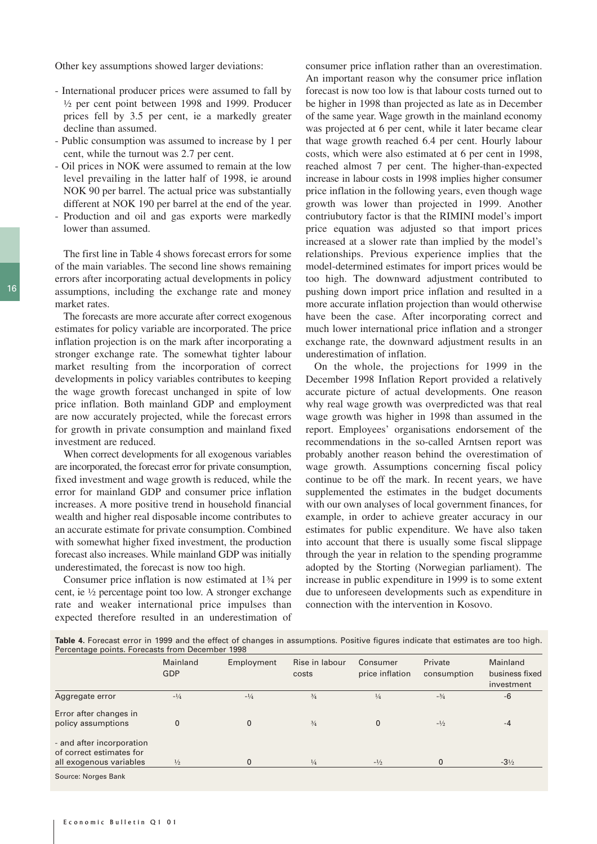Other key assumptions showed larger deviations:

- International producer prices were assumed to fall by ½ per cent point between 1998 and 1999. Producer prices fell by 3.5 per cent, ie a markedly greater decline than assumed.
- Public consumption was assumed to increase by 1 per cent, while the turnout was 2.7 per cent.
- Oil prices in NOK were assumed to remain at the low level prevailing in the latter half of 1998, ie around NOK 90 per barrel. The actual price was substantially different at NOK 190 per barrel at the end of the year.
- Production and oil and gas exports were markedly lower than assumed.

The first line in Table 4 shows forecast errors for some of the main variables. The second line shows remaining errors after incorporating actual developments in policy assumptions, including the exchange rate and money market rates.

The forecasts are more accurate after correct exogenous estimates for policy variable are incorporated. The price inflation projection is on the mark after incorporating a stronger exchange rate. The somewhat tighter labour market resulting from the incorporation of correct developments in policy variables contributes to keeping the wage growth forecast unchanged in spite of low price inflation. Both mainland GDP and employment are now accurately projected, while the forecast errors for growth in private consumption and mainland fixed investment are reduced.

When correct developments for all exogenous variables are incorporated, the forecast error for private consumption, fixed investment and wage growth is reduced, while the error for mainland GDP and consumer price inflation increases. A more positive trend in household financial wealth and higher real disposable income contributes to an accurate estimate for private consumption. Combined with somewhat higher fixed investment, the production forecast also increases. While mainland GDP was initially underestimated, the forecast is now too high.

Consumer price inflation is now estimated at 1¾ per cent, ie ½ percentage point too low. A stronger exchange rate and weaker international price impulses than expected therefore resulted in an underestimation of consumer price inflation rather than an overestimation. An important reason why the consumer price inflation forecast is now too low is that labour costs turned out to be higher in 1998 than projected as late as in December of the same year. Wage growth in the mainland economy was projected at 6 per cent, while it later became clear that wage growth reached 6.4 per cent. Hourly labour costs, which were also estimated at 6 per cent in 1998, reached almost 7 per cent. The higher-than-expected increase in labour costs in 1998 implies higher consumer price inflation in the following years, even though wage growth was lower than projected in 1999. Another contriubutory factor is that the RIMINI model's import price equation was adjusted so that import prices increased at a slower rate than implied by the model's relationships. Previous experience implies that the model-determined estimates for import prices would be too high. The downward adjustment contributed to pushing down import price inflation and resulted in a more accurate inflation projection than would otherwise have been the case. After incorporating correct and much lower international price inflation and a stronger exchange rate, the downward adjustment results in an underestimation of inflation.

On the whole, the projections for 1999 in the December 1998 Inflation Report provided a relatively accurate picture of actual developments. One reason why real wage growth was overpredicted was that real wage growth was higher in 1998 than assumed in the report. Employees' organisations endorsement of the recommendations in the so-called Arntsen report was probably another reason behind the overestimation of wage growth. Assumptions concerning fiscal policy continue to be off the mark. In recent years, we have supplemented the estimates in the budget documents with our own analyses of local government finances, for example, in order to achieve greater accuracy in our estimates for public expenditure. We have also taken into account that there is usually some fiscal slippage through the year in relation to the spending programme adopted by the Storting (Norwegian parliament). The increase in public expenditure in 1999 is to some extent due to unforeseen developments such as expenditure in connection with the intervention in Kosovo.

| Table 4. Forecast error in 1999 and the effect of changes in assumptions. Positive figures indicate that estimates are too high. |  |  |
|----------------------------------------------------------------------------------------------------------------------------------|--|--|
| Percentage points. Forecasts from December 1998                                                                                  |  |  |

|                                                                                  | Mainland<br><b>GDP</b> | Employment | Rise in labour<br>costs | Consumer<br>price inflation | Private<br>consumption | Mainland<br>business fixed<br>investment |
|----------------------------------------------------------------------------------|------------------------|------------|-------------------------|-----------------------------|------------------------|------------------------------------------|
| Aggregate error                                                                  | $-1/4$                 | $-1/4$     | $^{3/4}$                | $\frac{1}{4}$               | $-3/4$                 | -6                                       |
| Error after changes in<br>policy assumptions                                     | $\mathbf{0}$           | $\Omega$   | $^{3/4}$                | $\mathbf{0}$                | $-1/2$                 | $-4$                                     |
| - and after incorporation<br>of correct estimates for<br>all exogenous variables | $\frac{1}{2}$          | 0          | $\frac{1}{4}$           | $-1/2$                      |                        | $-3\frac{1}{2}$                          |
| Course Norges Dank                                                               |                        |            |                         |                             |                        |                                          |

e: Noraes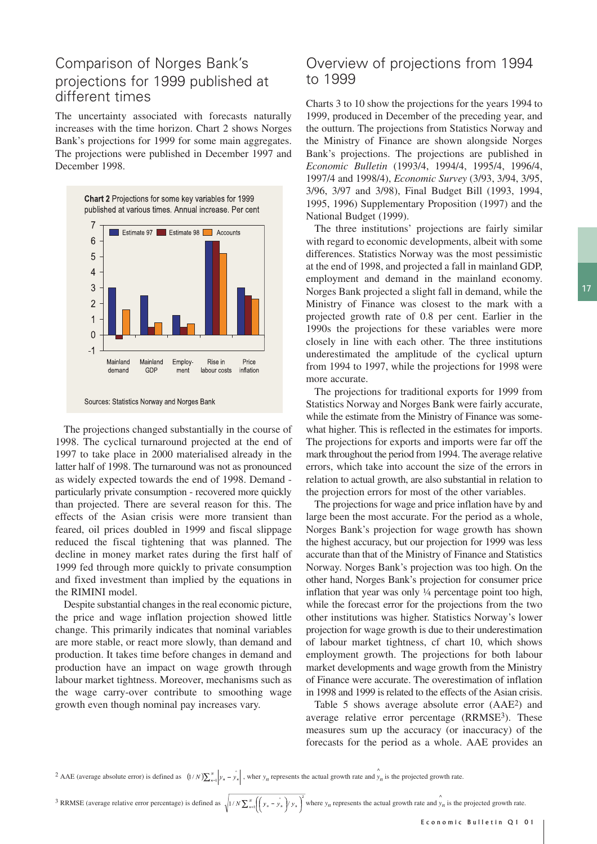## Comparison of Norges Bank's projections for 1999 published at different times

The uncertainty associated with forecasts naturally increases with the time horizon. Chart 2 shows Norges Bank's projections for 1999 for some main aggregates. The projections were published in December 1997 and December 1998.



Sources: Statistics Norway and Norges Bank

The projections changed substantially in the course of 1998. The cyclical turnaround projected at the end of 1997 to take place in 2000 materialised already in the latter half of 1998. The turnaround was not as pronounced as widely expected towards the end of 1998. Demand particularly private consumption - recovered more quickly than projected. There are several reason for this. The effects of the Asian crisis were more transient than feared, oil prices doubled in 1999 and fiscal slippage reduced the fiscal tightening that was planned. The decline in money market rates during the first half of 1999 fed through more quickly to private consumption and fixed investment than implied by the equations in the RIMINI model.

Despite substantial changes in the real economic picture, the price and wage inflation projection showed little change. This primarily indicates that nominal variables are more stable, or react more slowly, than demand and production. It takes time before changes in demand and production have an impact on wage growth through labour market tightness. Moreover, mechanisms such as the wage carry-over contribute to smoothing wage growth even though nominal pay increases vary.

### Overview of projections from 1994 to 1999

Charts 3 to 10 show the projections for the years 1994 to 1999, produced in December of the preceding year, and the outturn. The projections from Statistics Norway and the Ministry of Finance are shown alongside Norges Bank's projections. The projections are published in *Economic Bulletin* (1993/4, 1994/4, 1995/4, 1996/4, 1997/4 and 1998/4), *Economic Survey* (3/93, 3/94, 3/95, 3/96, 3/97 and 3/98), Final Budget Bill (1993, 1994, 1995, 1996) Supplementary Proposition (1997) and the National Budget (1999).

The three institutions' projections are fairly similar with regard to economic developments, albeit with some differences. Statistics Norway was the most pessimistic at the end of 1998, and projected a fall in mainland GDP, employment and demand in the mainland economy. Norges Bank projected a slight fall in demand, while the Ministry of Finance was closest to the mark with a projected growth rate of 0.8 per cent. Earlier in the 1990s the projections for these variables were more closely in line with each other. The three institutions underestimated the amplitude of the cyclical upturn from 1994 to 1997, while the projections for 1998 were more accurate.

The projections for traditional exports for 1999 from Statistics Norway and Norges Bank were fairly accurate, while the estimate from the Ministry of Finance was somewhat higher. This is reflected in the estimates for imports. The projections for exports and imports were far off the mark throughout the period from 1994. The average relative errors, which take into account the size of the errors in relation to actual growth, are also substantial in relation to the projection errors for most of the other variables.

The projections for wage and price inflation have by and large been the most accurate. For the period as a whole, Norges Bank's projection for wage growth has shown the highest accuracy, but our projection for 1999 was less accurate than that of the Ministry of Finance and Statistics Norway. Norges Bank's projection was too high. On the other hand, Norges Bank's projection for consumer price inflation that year was only ¼ percentage point too high, while the forecast error for the projections from the two other institutions was higher. Statistics Norway's lower projection for wage growth is due to their underestimation of labour market tightness, cf chart 10, which shows employment growth. The projections for both labour market developments and wage growth from the Ministry of Finance were accurate. The overestimation of inflation in 1998 and 1999 is related to the effects of the Asian crisis.

Table 5 shows average absolute error (AAE2) and average relative error percentage (RRMSE<sup>3</sup>). These measures sum up the accuracy (or inaccuracy) of the forecasts for the period as a whole. AAE provides an

<sup>2</sup> AAE (average absolute error) is defined as  $(1/N)\sum_{n=1}^{N} \left| y_n - \hat{y_n} \right|$ , wher  $y_n$  represents the actual growth rate and  $\hat{y}_n$  is the projected growth rate.

<sup>3</sup> RRMSE (average relative error percentage) is defined as  $\sqrt{1/N}\sum_{n=1}^{N}\left(\int y_n - \hat{y}_n\right) y_n\right)^2$  where  $y_n$  represents the actual growth rate and  $\hat{y}_n$  is the projected growth rate.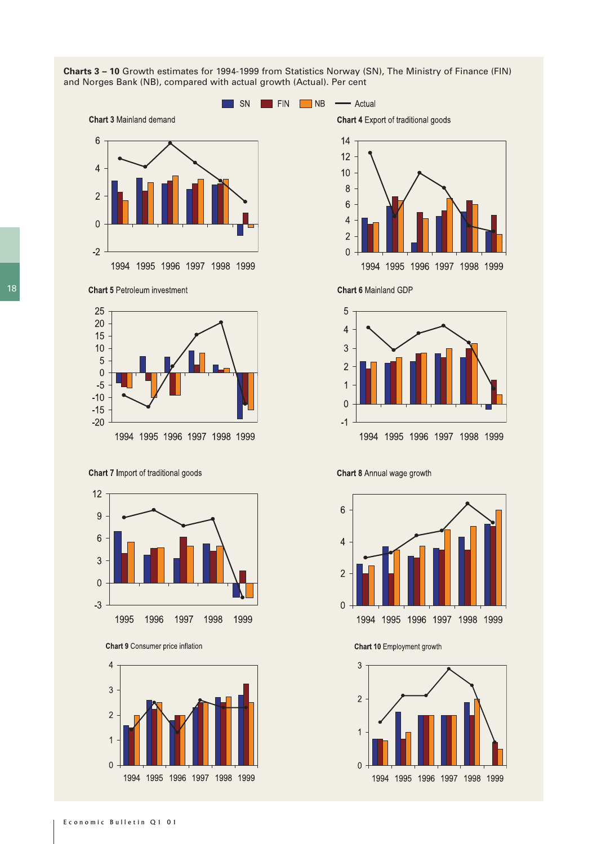

**Charts 3 – 10** Growth estimates for 1994-1999 from Statistics Norway (SN), The Ministry of Finance (FIN) and Norges Bank (NB), compared with actual growth (Actual). Per cent

Chart 7 Import of traditional goods

 $-20$ 



1994 1995 1996 1997 1998 1999

Chart 9 Consumer price inflation







**Chart 6 Mainland GDP** 



#### Chart 8 Annual wage growth



Chart 10 Employment growth